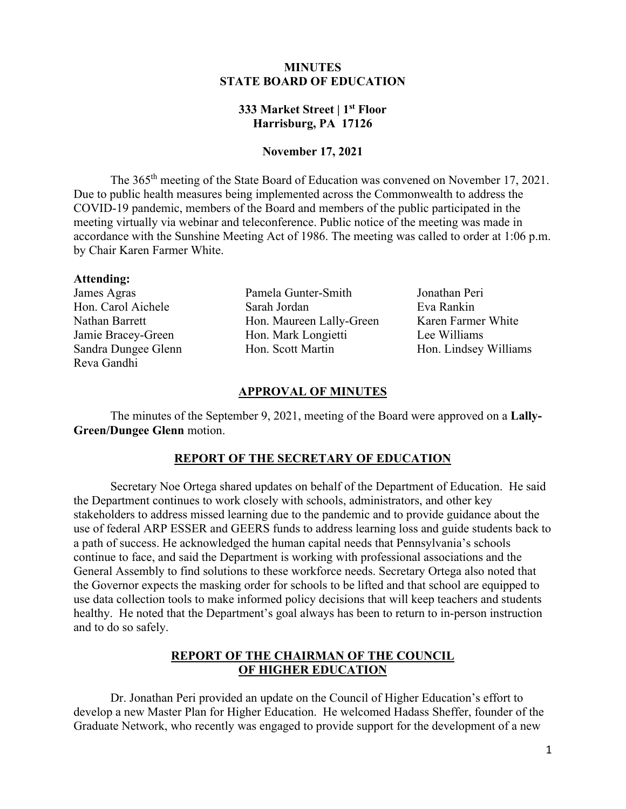# **MINUTES STATE BOARD OF EDUCATION**

# **333 Market Street | 1st Floor Harrisburg, PA 17126**

## **November 17, 2021**

The 365<sup>th</sup> meeting of the State Board of Education was convened on November 17, 2021. Due to public health measures being implemented across the Commonwealth to address the accordance with the Sunshine Meeting Act of 1986. The meeting was called to order at 1:06 p.m. COVID-19 pandemic, members of the Board and members of the public participated in the meeting virtually via webinar and teleconference. Public notice of the meeting was made in by Chair Karen Farmer White.

#### **Attending:**

Reva Gandhi

James Agras Pamela Gunter-Smith Jonathan Peri Hon. Carol Aichele Sarah Jordan Eva Rankin Nathan Barrett **Hon. Maureen Lally-Green** Karen Farmer White Jamie Bracey-Green Hon. Mark Longietti Lee Williams Sandra Dungee Glenn Hon. Scott Martin Hon. Lindsey Williams

### **APPROVAL OF MINUTES**

 **Green/Dungee Glenn** motion. The minutes of the September 9, 2021, meeting of the Board were approved on a **Lally-**

### **REPORT OF THE SECRETARY OF EDUCATION**

 stakeholders to address missed learning due to the pandemic and to provide guidance about the a path of success. He acknowledged the human capital needs that Pennsylvania's schools continue to face, and said the Department is working with professional associations and the the Governor expects the masking order for schools to be lifted and that school are equipped to Secretary Noe Ortega shared updates on behalf of the Department of Education. He said the Department continues to work closely with schools, administrators, and other key use of federal ARP ESSER and GEERS funds to address learning loss and guide students back to General Assembly to find solutions to these workforce needs. Secretary Ortega also noted that use data collection tools to make informed policy decisions that will keep teachers and students healthy. He noted that the Department's goal always has been to return to in-person instruction and to do so safely.

# **REPORT OF THE CHAIRMAN OF THE COUNCIL OF HIGHER EDUCATION**

 develop a new Master Plan for Higher Education. He welcomed Hadass Sheffer, founder of the Graduate Network, who recently was engaged to provide support for the development of a new Dr. Jonathan Peri provided an update on the Council of Higher Education's effort to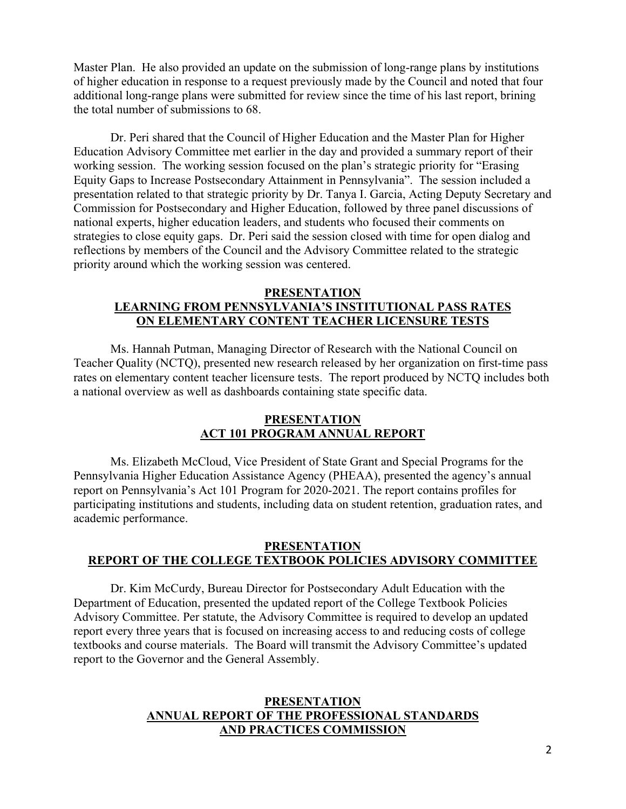of higher education in response to a request previously made by the Council and noted that four Master Plan. He also provided an update on the submission of long-range plans by institutions additional long-range plans were submitted for review since the time of his last report, brining the total number of submissions to 68.

 Education Advisory Committee met earlier in the day and provided a summary report of their working session. The working session focused on the plan's strategic priority for "Erasing Equity Gaps to Increase Postsecondary Attainment in Pennsylvania". The session included a strategies to close equity gaps. Dr. Peri said the session closed with time for open dialog and reflections by members of the Council and the Advisory Committee related to the strategic Dr. Peri shared that the Council of Higher Education and the Master Plan for Higher presentation related to that strategic priority by Dr. Tanya I. Garcia, Acting Deputy Secretary and Commission for Postsecondary and Higher Education, followed by three panel discussions of national experts, higher education leaders, and students who focused their comments on priority around which the working session was centered.

### **PRESENTATION**

# **LEARNING FROM PENNSYLVANIA'S INSTITUTIONAL PASS RATES ON ELEMENTARY CONTENT TEACHER LICENSURE TESTS**

 Ms. Hannah Putman, Managing Director of Research with the National Council on rates on elementary content teacher licensure tests. The report produced by NCTQ includes both Teacher Quality (NCTQ), presented new research released by her organization on first-time pass a national overview as well as dashboards containing state specific data.

## **ACT 101 PROGRAM ANNUAL REPORT PRESENTATION**

 Ms. Elizabeth McCloud, Vice President of State Grant and Special Programs for the Pennsylvania Higher Education Assistance Agency (PHEAA), presented the agency's annual report on Pennsylvania's Act 101 Program for 2020-2021. The report contains profiles for participating institutions and students, including data on student retention, graduation rates, and academic performance.

# **PRESENTATION REPORT OF THE COLLEGE TEXTBOOK POLICIES ADVISORY COMMITTEE**

Dr. Kim McCurdy, Bureau Director for Postsecondary Adult Education with the Department of Education, presented the updated report of the College Textbook Policies Advisory Committee. Per statute, the Advisory Committee is required to develop an updated report every three years that is focused on increasing access to and reducing costs of college textbooks and course materials. The Board will transmit the Advisory Committee's updated report to the Governor and the General Assembly.

# **PRESENTATION ANNUAL REPORT OF THE PROFESSIONAL STANDARDS AND PRACTICES COMMISSION**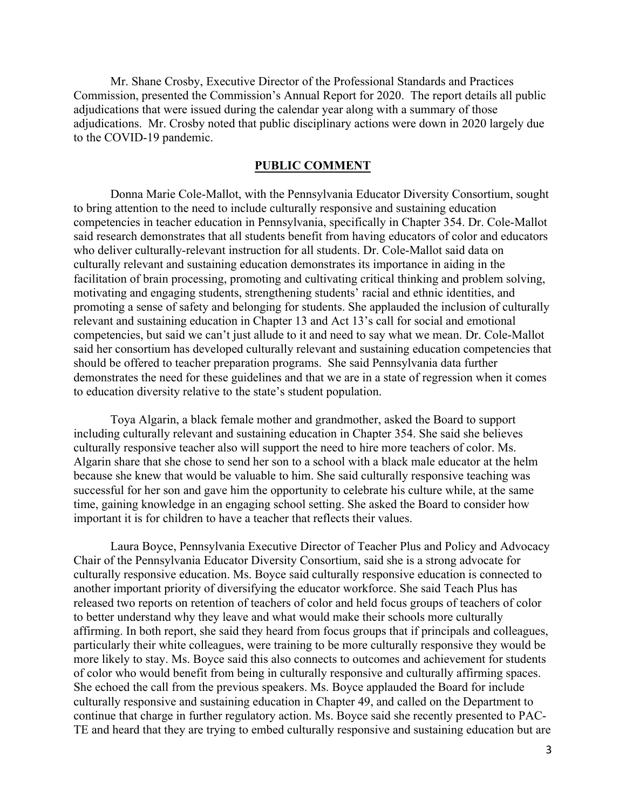Commission, presented the Commission's Annual Report for 2020. The report details all public adjudications that were issued during the calendar year along with a summary of those to the COVID-19 pandemic. Mr. Shane Crosby, Executive Director of the Professional Standards and Practices adjudications. Mr. Crosby noted that public disciplinary actions were down in 2020 largely due

## **PUBLIC COMMENT**

 Donna Marie Cole-Mallot, with the Pennsylvania Educator Diversity Consortium, sought who deliver culturally-relevant instruction for all students. Dr. Cole-Mallot said data on culturally relevant and sustaining education demonstrates its importance in aiding in the promoting a sense of safety and belonging for students. She applauded the inclusion of culturally relevant and sustaining education in Chapter 13 and Act 13's call for social and emotional competencies, but said we can't just allude to it and need to say what we mean. Dr. Cole-Mallot should be offered to teacher preparation programs. She said Pennsylvania data further to education diversity relative to the state's student population. to bring attention to the need to include culturally responsive and sustaining education competencies in teacher education in Pennsylvania, specifically in Chapter 354. Dr. Cole-Mallot said research demonstrates that all students benefit from having educators of color and educators facilitation of brain processing, promoting and cultivating critical thinking and problem solving, motivating and engaging students, strengthening students' racial and ethnic identities, and said her consortium has developed culturally relevant and sustaining education competencies that demonstrates the need for these guidelines and that we are in a state of regression when it comes

 Algarin share that she chose to send her son to a school with a black male educator at the helm time, gaining knowledge in an engaging school setting. She asked the Board to consider how important it is for children to have a teacher that reflects their values. Toya Algarin, a black female mother and grandmother, asked the Board to support including culturally relevant and sustaining education in Chapter 354. She said she believes culturally responsive teacher also will support the need to hire more teachers of color. Ms. because she knew that would be valuable to him. She said culturally responsive teaching was successful for her son and gave him the opportunity to celebrate his culture while, at the same

 Chair of the Pennsylvania Educator Diversity Consortium, said she is a strong advocate for to better understand why they leave and what would make their schools more culturally particularly their white colleagues, were training to be more culturally responsive they would be TE and heard that they are trying to embed culturally responsive and sustaining education but are Laura Boyce, Pennsylvania Executive Director of Teacher Plus and Policy and Advocacy culturally responsive education. Ms. Boyce said culturally responsive education is connected to another important priority of diversifying the educator workforce. She said Teach Plus has released two reports on retention of teachers of color and held focus groups of teachers of color affirming. In both report, she said they heard from focus groups that if principals and colleagues, more likely to stay. Ms. Boyce said this also connects to outcomes and achievement for students of color who would benefit from being in culturally responsive and culturally affirming spaces. She echoed the call from the previous speakers. Ms. Boyce applauded the Board for include culturally responsive and sustaining education in Chapter 49, and called on the Department to continue that charge in further regulatory action. Ms. Boyce said she recently presented to PAC-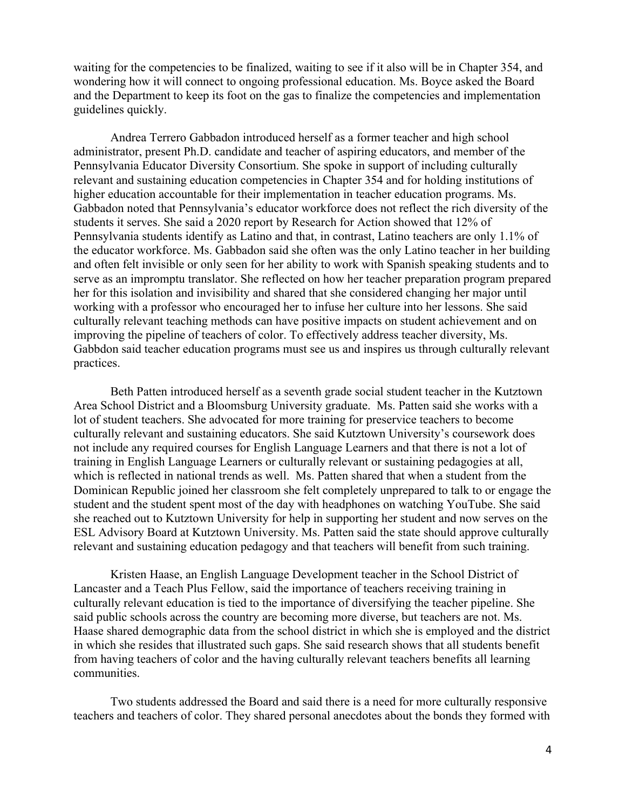and the Department to keep its foot on the gas to finalize the competencies and implementation guidelines quickly. waiting for the competencies to be finalized, waiting to see if it also will be in Chapter 354, and wondering how it will connect to ongoing professional education. Ms. Boyce asked the Board

 Andrea Terrero Gabbadon introduced herself as a former teacher and high school administrator, present Ph.D. candidate and teacher of aspiring educators, and member of the Pennsylvania students identify as Latino and that, in contrast, Latino teachers are only 1.1% of the educator workforce. Ms. Gabbadon said she often was the only Latino teacher in her building her for this isolation and invisibility and shared that she considered changing her major until practices. Pennsylvania Educator Diversity Consortium. She spoke in support of including culturally relevant and sustaining education competencies in Chapter 354 and for holding institutions of higher education accountable for their implementation in teacher education programs. Ms. Gabbadon noted that Pennsylvania's educator workforce does not reflect the rich diversity of the students it serves. She said a 2020 report by Research for Action showed that 12% of and often felt invisible or only seen for her ability to work with Spanish speaking students and to serve as an impromptu translator. She reflected on how her teacher preparation program prepared working with a professor who encouraged her to infuse her culture into her lessons. She said culturally relevant teaching methods can have positive impacts on student achievement and on improving the pipeline of teachers of color. To effectively address teacher diversity, Ms. Gabbdon said teacher education programs must see us and inspires us through culturally relevant

 not include any required courses for English Language Learners and that there is not a lot of Dominican Republic joined her classroom she felt completely unprepared to talk to or engage the she reached out to Kutztown University for help in supporting her student and now serves on the ESL Advisory Board at Kutztown University. Ms. Patten said the state should approve culturally Beth Patten introduced herself as a seventh grade social student teacher in the Kutztown Area School District and a Bloomsburg University graduate. Ms. Patten said she works with a lot of student teachers. She advocated for more training for preservice teachers to become culturally relevant and sustaining educators. She said Kutztown University's coursework does training in English Language Learners or culturally relevant or sustaining pedagogies at all, which is reflected in national trends as well. Ms. Patten shared that when a student from the student and the student spent most of the day with headphones on watching YouTube. She said

 relevant and sustaining education pedagogy and that teachers will benefit from such training. Kristen Haase, an English Language Development teacher in the School District of Haase shared demographic data from the school district in which she is employed and the district communities. Lancaster and a Teach Plus Fellow, said the importance of teachers receiving training in culturally relevant education is tied to the importance of diversifying the teacher pipeline. She said public schools across the country are becoming more diverse, but teachers are not. Ms. in which she resides that illustrated such gaps. She said research shows that all students benefit from having teachers of color and the having culturally relevant teachers benefits all learning

Two students addressed the Board and said there is a need for more culturally responsive teachers and teachers of color. They shared personal anecdotes about the bonds they formed with